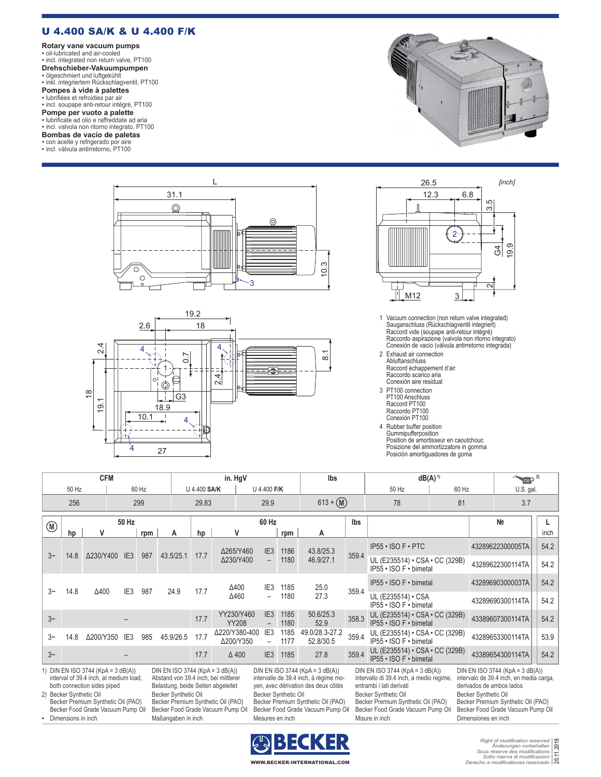## U 4.400 SA/K & U 4.400 F/K

**Rotary vane vacuum pumps** ▪ oil-lubricated and air-cooled ▪ incl. integrated non return valve, PT100 **Drehschieber-Vakuumpumpen**

▪ ölgeschmiert und luftgekühlt ▪ inkl. integriertem Rückschlagventil, PT100

**Pompes à vide à palettes**<br>▪ lubrifiées et refroidies par air<br>▪ incl. soupape anti-retour intégré, PT100

**Pompe per vuoto a palette**<br>• lubrificate ad olio e raffreddate ad aria<br>• incl. valvola non ritorno integrato, PT100

## **Bombas de vacío de paletas**

▪ con aceite y refrigerado por aire

▪ incl. válvula antirretorno, PT100









- 1 Vacuum connection (non return valve integrated) Sauganschluss (Rückschlagventil integriert) Raccord vide (soupape anti-retour intégré) Raccordo aspirazione (valvola non ritorno integrato) Conexión de vacío (válvula antirretorno integrada)
- 2 Exhaust air connection Abluftanschluss Raccord échappement d'air Raccordo scarico aria Conexión aire residual
- 3 PT100 connection PT100 Anschluss Raccord PT100 Raccordo PT100 Conexión PT100
- 4 Rubber buffer position Gummipufferposition Position de amortisseur en caoutchouc Posizione del ammortizzatore in gomma Posición amortiguadores de goma

| <b>CFM</b>                                                                                                                                                                                                                     |       |              |                    |                                                                                                                   |                                                                                                        | in. HgV |                            |                                                                                                          |                                                                         | lbs                                                                                             | $dB(A)^1$                                                                                              |                                                                                |                                                                                                 | $\bigcirc$ <sub>0il</sub> $\bigcirc$ <sup>2)</sup> |                          |      |
|--------------------------------------------------------------------------------------------------------------------------------------------------------------------------------------------------------------------------------|-------|--------------|--------------------|-------------------------------------------------------------------------------------------------------------------|--------------------------------------------------------------------------------------------------------|---------|----------------------------|----------------------------------------------------------------------------------------------------------|-------------------------------------------------------------------------|-------------------------------------------------------------------------------------------------|--------------------------------------------------------------------------------------------------------|--------------------------------------------------------------------------------|-------------------------------------------------------------------------------------------------|----------------------------------------------------|--------------------------|------|
| 50 Hz<br>60 Hz                                                                                                                                                                                                                 |       |              |                    |                                                                                                                   | U 4.400 SA/K                                                                                           |         |                            | U 4.400 F/K                                                                                              |                                                                         |                                                                                                 | 50 Hz                                                                                                  | 60 Hz                                                                          |                                                                                                 | U.S. gal.                                          |                          |      |
|                                                                                                                                                                                                                                | 256   |              | 299                |                                                                                                                   |                                                                                                        | 29.83   |                            | 29.9                                                                                                     |                                                                         | $613 + (M)$                                                                                     |                                                                                                        | 78                                                                             | 81                                                                                              |                                                    | 3.7                      |      |
| $(\mathbb{M})$                                                                                                                                                                                                                 | 50 Hz |              |                    |                                                                                                                   |                                                                                                        |         |                            |                                                                                                          | 60 Hz                                                                   |                                                                                                 | lbs                                                                                                    |                                                                                |                                                                                                 | N <sub>2</sub>                                     |                          |      |
|                                                                                                                                                                                                                                | hp    | v            |                    | rpm                                                                                                               | А                                                                                                      | hp      | v                          |                                                                                                          | rpm                                                                     | Α                                                                                               |                                                                                                        |                                                                                |                                                                                                 |                                                    |                          | inch |
| $3-$                                                                                                                                                                                                                           | 14.8  | Δ230/Y400    | IE <sub>3</sub>    | 987                                                                                                               | 43.5/25.1                                                                                              | 17.7    | Δ265/Y460                  |                                                                                                          | 1186<br>IE <sub>3</sub>                                                 | 43.8/25.3                                                                                       | 359.4                                                                                                  | $IP55 \cdot ISO F \cdot PTC$                                                   |                                                                                                 |                                                    | 43289622300005TA         | 54.2 |
|                                                                                                                                                                                                                                |       |              |                    |                                                                                                                   |                                                                                                        |         | Δ230/Y400                  |                                                                                                          | 1180                                                                    | 46.9/27.1                                                                                       |                                                                                                        | UL (E235514) · CSA · CC (329B)<br>IP55 · ISO F · bimetal                       |                                                                                                 |                                                    | 43289622300114TA<br>54.2 |      |
| $3-$                                                                                                                                                                                                                           | 14.8  | $\Delta 400$ | IE <sub>3</sub>    | 987                                                                                                               | 24.9                                                                                                   | 17.7    | $\Delta 400$               |                                                                                                          | IE <sub>3</sub><br>1185                                                 | 25.0                                                                                            | 359.4                                                                                                  | IP55 • ISO F • bimetal                                                         |                                                                                                 |                                                    | 43289690300003TA         | 54.2 |
|                                                                                                                                                                                                                                |       |              |                    |                                                                                                                   |                                                                                                        |         | Δ460                       |                                                                                                          | 1180                                                                    | 27.3                                                                                            |                                                                                                        | UL (E235514) $\cdot$ CSA<br>IP55 • ISO F • bimetal                             |                                                                                                 |                                                    | 43289690300114TA         | 54.2 |
| $3-$                                                                                                                                                                                                                           |       |              |                    |                                                                                                                   |                                                                                                        | 17.7    | YY230/Y460<br><b>YY208</b> |                                                                                                          | IE <sub>3</sub><br>1185<br>1180                                         | 50.6/25.3<br>52.9                                                                               | 358.3                                                                                                  | UL (E235514) $\cdot$ CSA $\cdot$ CC (329B)<br>IP55 · ISO F · bimetal           |                                                                                                 |                                                    | 43389607300114TA         | 54.2 |
| $3-$                                                                                                                                                                                                                           | 14.8  | Δ200/Y350    | IE <sub>3</sub>    | 985                                                                                                               | 45.9/26.5                                                                                              | 17.7    | Δ220/Y380-400<br>Δ200/Y350 |                                                                                                          | IE3<br>1185<br>1177                                                     | 49.0/28.3-27.2<br>52.8/30.5                                                                     | 359.4                                                                                                  | UL (E235514) $\cdot$ CSA $\cdot$ CC (329B)<br>$IP55 \cdot ISO F \cdot bimetal$ |                                                                                                 |                                                    | 43289653300114TA         | 53.9 |
| $3-$                                                                                                                                                                                                                           |       |              |                    |                                                                                                                   |                                                                                                        | 17.7    | $\Delta$ 400               |                                                                                                          | 1185<br>IE <sub>3</sub>                                                 | 27.8                                                                                            | 359.4                                                                                                  | UL (E235514) $\cdot$ CSA $\cdot$ CC (329B)<br>IP55 · ISO F · bimetal           |                                                                                                 |                                                    | 43389654300114TA         | 54.2 |
| 1) DIN EN ISO 3744 (KpA = 3 dB(A))<br>DIN EN ISO 3744 (KpA = $3$ dB(A))<br>interval of 39.4 inch, at medium load,<br>Abstand von 39.4 inch, bei mittlerer<br>Belastung, beide Seiten abgeleitet<br>both connection sides piped |       |              |                    | DIN EN ISO 3744 (KpA = $3$ dB(A))<br>intervalle de 39.4 inch, à régime mo-<br>yen, avec dérivation des deux côtés |                                                                                                        |         |                            | DIN EN ISO 3744 (KpA = $3$ dB(A))<br>intervallo di 39.4 inch, a medio regime<br>entrambi i lati derivati |                                                                         |                                                                                                 | DIN EN ISO 3744 (KpA = 3 dB(A))<br>intervalo de 39.4 inch, en media carga,<br>derivados de ambos lados |                                                                                |                                                                                                 |                                                    |                          |      |
| 2) Becker Synthetic Oil<br>Becker Premium Synthetic Oil (PAO)<br>Becker Food Grade Vacuum Pump Oil                                                                                                                             |       |              |                    |                                                                                                                   | <b>Becker Synthetic Oil</b><br>Becker Premium Synthetic Oil (PAO)<br>Becker Food Grade Vacuum Pump Oil |         |                            | Becker Synthetic Oil                                                                                     | Becker Premium Synthetic Oil (PAO)<br>Becker Food Grade Vacuum Pump Oil | Becker Synthetic Oil<br>Becker Premium Synthetic Oil (PAO)<br>Becker Food Grade Vacuum Pump Oil |                                                                                                        |                                                                                | Becker Synthetic Oil<br>Becker Premium Synthetic Oil (PAO)<br>Becker Food Grade Vacuum Pump Oil |                                                    |                          |      |
| - Dimensions in inch                                                                                                                                                                                                           |       |              | Maßangaben in inch | Mesures en inch                                                                                                   |                                                                                                        |         |                            | Misure in inch                                                                                           |                                                                         |                                                                                                 | Dimensiones en inch                                                                                    |                                                                                |                                                                                                 |                                                    |                          |      |



*Right of modification reserved Änderungen vorbehalten Sous réserve des modifications Sotto riserva di modificazioni Derecho a modificationes reservado* **20.11.2018**